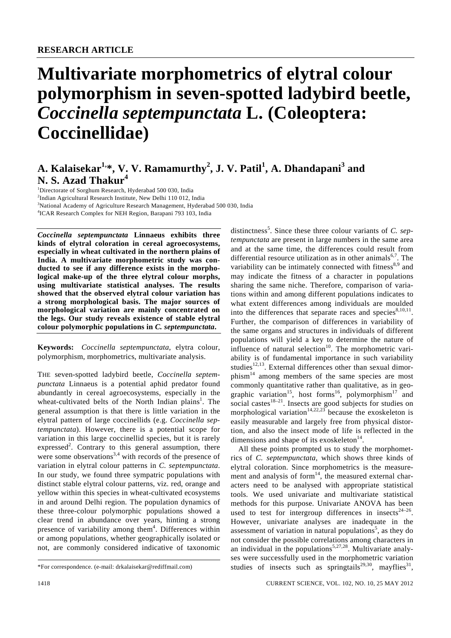# **Multivariate morphometrics of elytral colour polymorphism in seven-spotted ladybird beetle,**  *Coccinella septempunctata* **L. (Coleoptera: Coccinellidae)**

# A. Kalaisekar<sup>1,</sup>\*, V. V. Ramamurthy<sup>2</sup>, J. V. Patil<sup>1</sup>, A. Dhandapani<sup>3</sup> and **N. S. Azad Thakur<sup>4</sup>**

<sup>1</sup>Directorate of Sorghum Research, Hyderabad 500 030, India <sup>2</sup>Indian Agricultural Research Institute, New Delhi 110 012, India <sup>3</sup>National Academy of Agriculture Research Management, Hyderabad 500 030, India 4 ICAR Research Complex for NEH Region, Barapani 793 103, India

*Coccinella septempunctata* **Linnaeus exhibits three kinds of elytral coloration in cereal agroecosystems, especially in wheat cultivated in the northern plains of India. A multivariate morphometric study was conducted to see if any difference exists in the morphological make-up of the three elytral colour morphs, using multivariate statistical analyses. The results showed that the observed elytral colour variation has a strong morphological basis. The major sources of morphological variation are mainly concentrated on the legs. Our study reveals existence of stable elytral colour polymorphic populations in** *C. septempunctata***.** 

**Keywords:** *Coccinella septempunctata*, elytra colour, polymorphism, morphometrics, multivariate analysis.

THE seven-spotted ladybird beetle, *Coccinella septempunctata* Linnaeus is a potential aphid predator found abundantly in cereal agroecosystems, especially in the wheat-cultivated belts of the North Indian plains<sup>1</sup>. The general assumption is that there is little variation in the elytral pattern of large coccinellids (e.g. *Coccinella septempunctata*). However, there is a potential scope for variation in this large coccinellid species, but it is rarely expressed<sup>2</sup>. Contrary to this general assumption, there were some observations $3,4$  with records of the presence of variation in elytral colour patterns in *C. septempunctata*. In our study, we found three sympatric populations with distinct stable elytral colour patterns, viz. red, orange and yellow within this species in wheat-cultivated ecosystems in and around Delhi region. The population dynamics of these three-colour polymorphic populations showed a clear trend in abundance over years, hinting a strong presence of variability among them<sup>4</sup>. Differences within or among populations, whether geographically isolated or not, are commonly considered indicative of taxonomic

*tempunctata* are present in large numbers in the same area and at the same time, the differences could result from differential resource utilization as in other animals<sup>6,7</sup>. The variability can be intimately connected with fitness $8.9$  and may indicate the fitness of a character in populations sharing the same niche. Therefore, comparison of variations within and among different populations indicates to what extent differences among individuals are moulded into the differences that separate races and species $8,10,11$ . Further, the comparison of differences in variability of the same organs and structures in individuals of different populations will yield a key to determine the nature of influence of natural selection<sup>10</sup>. The morphometric variability is of fundamental importance in such variability studies<sup>12,13</sup>. External differences other than sexual dimorphism<sup>14</sup> among members of the same species are most commonly quantitative rather than qualitative, as in geographic variation<sup>15</sup>, host forms<sup>16</sup>, polymorphism<sup>17</sup> and social castes<sup>18–21</sup>. Insects are good subjects for studies on morphological variation<sup>14,22,23</sup> because the exoskeleton is easily measurable and largely free from physical distortion, and also the insect mode of life is reflected in the dimensions and shape of its exoskeleton $14$ .

distinctness<sup>5</sup>. Since these three colour variants of *C. sep-*

 All these points prompted us to study the morphometrics of *C. septempunctata*, which shows three kinds of elytral coloration. Since morphometrics is the measurement and analysis of form $14$ , the measured external characters need to be analysed with appropriate statistical tools. We used univariate and multivariate statistical methods for this purpose. Univariate ANOVA has been used to test for intergroup differences in insects<sup>24-26</sup>. However, univariate analyses are inadequate in the assessment of variation in natural populations<sup>5</sup>, as they do not consider the possible correlations among characters in an individual in the populations<sup>5,27,28</sup>. Multivariate analyses were successfully used in the morphometric variation studies of insects such as springtails<sup>29,30</sup>, mayflies<sup>31</sup>,

<sup>\*</sup>For correspondence. (e-mail: drkalaisekar@rediffmail.com)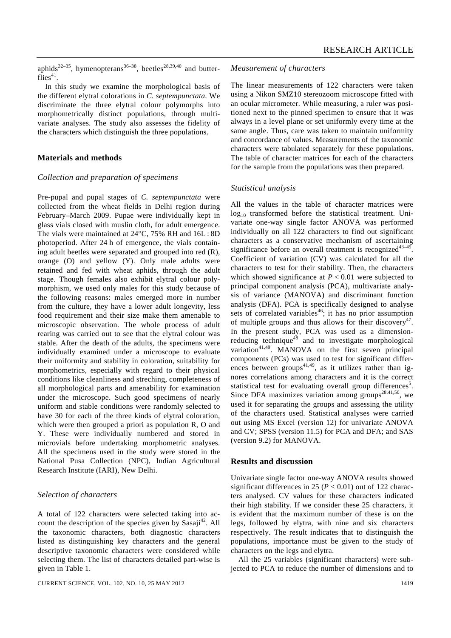aphids<sup>32–35</sup>, hymenopterans<sup>36–38</sup>, beetles<sup>28,39,40</sup> and butter $flies^{41}$ .

 In this study we examine the morphological basis of the different elytral colorations in *C. septempunctata*. We discriminate the three elytral colour polymorphs into morphometrically distinct populations, through multivariate analyses. The study also assesses the fidelity of the characters which distinguish the three populations.

## **Materials and methods**

#### *Collection and preparation of specimens*

Pre-pupal and pupal stages of *C. septempunctata* were collected from the wheat fields in Delhi region during February–March 2009. Pupae were individually kept in glass vials closed with muslin cloth, for adult emergence. The vials were maintained at 24°C, 75% RH and 16L : 8D photoperiod. After 24 h of emergence, the vials containing adult beetles were separated and grouped into red (R), orange (O) and yellow (Y). Only male adults were retained and fed with wheat aphids, through the adult stage. Though females also exhibit elytral colour polymorphism, we used only males for this study because of the following reasons: males emerged more in number from the culture, they have a lower adult longevity, less food requirement and their size make them amenable to microscopic observation. The whole process of adult rearing was carried out to see that the elytral colour was stable. After the death of the adults, the specimens were individually examined under a microscope to evaluate their uniformity and stability in coloration, suitability for morphometrics, especially with regard to their physical conditions like cleanliness and streching, completeness of all morphological parts and amenability for examination under the microscope. Such good specimens of nearly uniform and stable conditions were randomly selected to have 30 for each of the three kinds of elytral coloration, which were then grouped a priori as population R, O and Y. These were individually numbered and stored in microvials before undertaking morphometric analyses. All the specimens used in the study were stored in the National Pusa Collection (NPC), Indian Agricultural Research Institute (IARI), New Delhi.

#### *Selection of characters*

A total of 122 characters were selected taking into account the description of the species given by  $Sasaii^{42}$ . All the taxonomic characters, both diagnostic characters listed as distinguishing key characters and the general descriptive taxonomic characters were considered while selecting them. The list of characters detailed part-wise is given in Table 1.

#### *Measurement of characters*

The linear measurements of 122 characters were taken using a Nikon SMZ10 stereozoom microscope fitted with an ocular micrometer. While measuring, a ruler was positioned next to the pinned specimen to ensure that it was always in a level plane or set uniformly every time at the same angle. Thus, care was taken to maintain uniformity and concordance of values. Measurements of the taxonomic characters were tabulated separately for these populations. The table of character matrices for each of the characters for the sample from the populations was then prepared.

#### *Statistical analysis*

All the values in the table of character matrices were log<sub>10</sub> transformed before the statistical treatment. Univariate one-way single factor ANOVA was performed individually on all 122 characters to find out significant characters as a conservative mechanism of ascertaining significance before an overall treatment is recognized $43-45$ . Coefficient of variation (CV) was calculated for all the characters to test for their stability. Then, the characters which showed significance at  $P < 0.01$  were subjected to principal component analysis (PCA), multivariate analysis of variance (MANOVA) and discriminant function analysis (DFA). PCA is specifically designed to analyse sets of correlated variables<sup>46</sup>; it has no prior assumption of multiple groups and thus allows for their discovery<sup>47</sup>. In the present study, PCA was used as a dimensionreducing technique $48$  and to investigate morphological variation<sup>41,49</sup>. MANOVA on the first seven principal components (PCs) was used to test for significant differences between groups<sup>41,49</sup>, as it utilizes rather than ignores correlations among characters and it is the correct statistical test for evaluating overall group differences<sup>5</sup>. Since DFA maximizes variation among groups<sup>28,41,50</sup>, we used it for separating the groups and assessing the utility of the characters used. Statistical analyses were carried out using MS Excel (version 12) for univariate ANOVA and CV; SPSS (version 11.5) for PCA and DFA; and SAS (version 9.2) for MANOVA.

#### **Results and discussion**

Univariate single factor one-way ANOVA results showed significant differences in 25 ( $P < 0.01$ ) out of 122 characters analysed. CV values for these characters indicated their high stability. If we consider these 25 characters, it is evident that the maximum number of these is on the legs, followed by elytra, with nine and six characters respectively. The result indicates that to distinguish the populations, importance must be given to the study of characters on the legs and elytra.

 All the 25 variables (significant characters) were subjected to PCA to reduce the number of dimensions and to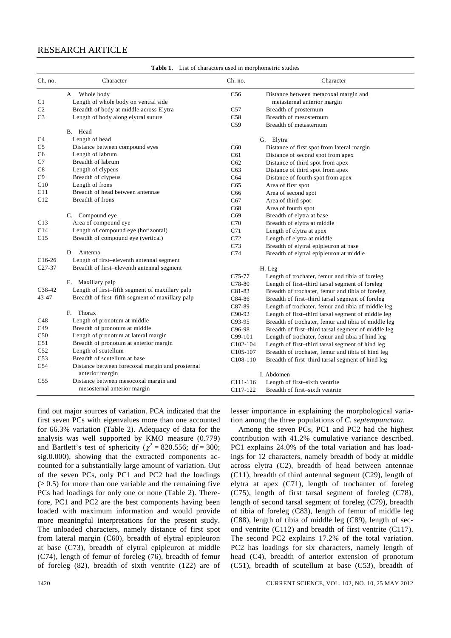# RESEARCH ARTICLE

| Ch. no.         | Character                                        | Ch. no.               | Character                                           |
|-----------------|--------------------------------------------------|-----------------------|-----------------------------------------------------|
|                 | A. Whole body                                    | C56                   | Distance between metacoxal margin and               |
| C1              | Length of whole body on ventral side             |                       | metasternal anterior margin                         |
| C <sub>2</sub>  | Breadth of body at middle across Elytra          | C57                   | Breadth of prosternum                               |
| C <sub>3</sub>  | Length of body along elytral suture              | C58                   | Breadth of mesosternum                              |
|                 |                                                  | C <sub>59</sub>       | Breadth of metasternum                              |
|                 | B. Head                                          |                       |                                                     |
| C4              | Length of head                                   |                       | G. Elytra                                           |
| C <sub>5</sub>  | Distance between compound eyes                   | C60                   | Distance of first spot from lateral margin          |
| C <sub>6</sub>  | Length of labrum                                 | C61                   | Distance of second spot from apex                   |
| C7              | Breadth of labrum                                | C62                   | Distance of third spot from apex                    |
| C8              | Length of clypeus                                | C63                   | Distance of third spot from apex                    |
| C9              | Breadth of clypeus                               | C64                   | Distance of fourth spot from apex                   |
| C10             | Length of frons                                  | C65                   | Area of first spot                                  |
| C11             | Breadth of head between antennae                 | C <sub>66</sub>       | Area of second spot                                 |
| C12             | Breadth of frons                                 | C67                   | Area of third spot                                  |
|                 |                                                  | C68                   | Area of fourth spot                                 |
|                 | C. Compound eye                                  | C69                   | Breadth of elytra at base                           |
| C13             | Area of compound eye                             | C70                   | Breadth of elytra at middle                         |
| C14             | Length of compound eye (horizontal)              | C71                   | Length of elytra at apex                            |
| C15             | Breadth of compound eye (vertical)               | C72                   | Length of elytra at middle                          |
|                 |                                                  | C <sub>73</sub>       | Breadth of elytral epipleuron at base               |
|                 | D. Antenna                                       | C <sub>74</sub>       | Breadth of elytral epipleuron at middle             |
| $C16-26$        | Length of first-eleventh antennal segment        |                       |                                                     |
| $C27-37$        | Breadth of first-eleventh antennal segment       |                       | H. Leg                                              |
|                 |                                                  | C75-77                | Length of trochater, femur and tibia of foreleg     |
|                 | E. Maxillary palp                                | C78-80                | Length of first-third tarsal segment of foreleg     |
| $C38-42$        | Length of first-fifth segment of maxillary palp  | C81-83                | Breadth of trochater, femur and tibia of foreleg    |
| $43 - 47$       | Breadth of first-fifth segment of maxillary palp | C84-86                | Breadth of first-third tarsal segment of foreleg    |
|                 |                                                  | C87-89                | Length of trochater, femur and tibia of middle leg  |
|                 | F. Thorax                                        | C90-92                | Length of first-third tarsal segment of middle leg  |
| C48             | Length of pronotum at middle                     | $C93-95$              | Breadth of trochater, femur and tibia of middle leg |
| C <sub>49</sub> | Breadth of pronotum at middle                    | C96-98                | Breadth of first-third tarsal segment of middle leg |
| C50             | Length of pronotum at lateral margin             | C99-101               | Length of trochater, femur and tibia of hind leg    |
| C51             | Breadth of pronotum at anterior margin           | $C102-104$            | Length of first-third tarsal segment of hind leg    |
| C52             | Length of scutellum                              | C105-107              | Breadth of trochater, femur and tibia of hind leg   |
| C <sub>53</sub> | Breadth of scutellum at base                     | C <sub>108</sub> -110 | Breadth of first-third tarsal segment of hind leg   |
| C <sub>54</sub> | Distance between forecoxal margin and prosternal |                       |                                                     |
|                 | anterior margin                                  |                       | I. Abdomen                                          |
| C55             | Distance between mesocoxal margin and            | C111-116              | Length of first-sixth ventrite                      |
|                 | mesosternal anterior margin                      | C <sub>117-122</sub>  | Breadth of first-sixth ventrite                     |

**Table 1.** List of characters used in morphometric studies

find out major sources of variation. PCA indicated that the first seven PCs with eigenvalues more than one accounted for 66.3% variation (Table 2). Adequacy of data for the analysis was well supported by KMO measure (0.779) and Bartlett's test of sphericity ( $\chi^2 = 820.556$ ; df = 300; sig.0.000), showing that the extracted components accounted for a substantially large amount of variation. Out of the seven PCs, only PC1 and PC2 had the loadings  $(≥ 0.5)$  for more than one variable and the remaining five PCs had loadings for only one or none (Table 2). Therefore, PC1 and PC2 are the best components having been loaded with maximum information and would provide more meaningful interpretations for the present study. The unloaded characters, namely distance of first spot from lateral margin (C60), breadth of elytral epipleuron at base (C73), breadth of elytral epipleuron at middle (C74), length of femur of foreleg (76), breadth of femur of foreleg (82), breadth of sixth ventrite (122) are of

lesser importance in explaining the morphological variation among the three populations of *C. septempunctata*.

 Among the seven PCs, PC1 and PC2 had the highest contribution with 41.2% cumulative variance described. PC1 explains 24.0% of the total variation and has loadings for 12 characters, namely breadth of body at middle across elytra (C2), breadth of head between antennae (C11), breadth of third antennal segment (C29), length of elytra at apex (C71), length of trochanter of foreleg (C75), length of first tarsal segment of foreleg (C78), length of second tarsal segment of foreleg (C79), breadth of tibia of foreleg (C83), length of femur of middle leg (C88), length of tibia of middle leg (C89), length of second ventrite (C112) and breadth of first ventrite (C117). The second PC2 explains 17.2% of the total variation. PC2 has loadings for six characters, namely length of head (C4), breadth of anterior extension of pronotum (C51), breadth of scutellum at base (C53), breadth of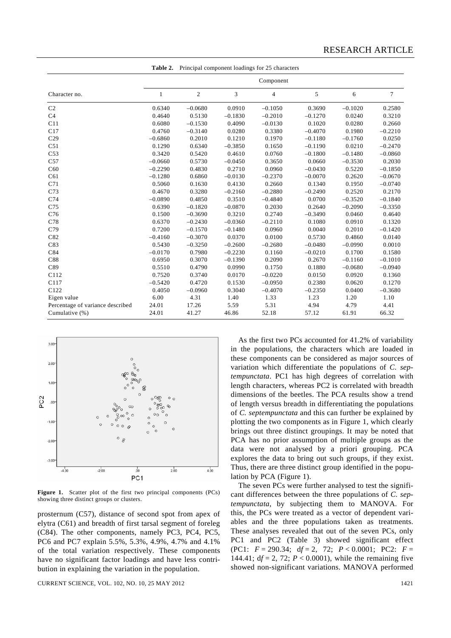|                                  | Table 2.     |                |           | Principal component loadings for 25 characters |           |           |           |  |  |
|----------------------------------|--------------|----------------|-----------|------------------------------------------------|-----------|-----------|-----------|--|--|
|                                  | Component    |                |           |                                                |           |           |           |  |  |
| Character no.                    | $\mathbf{1}$ | $\overline{c}$ | 3         | 4                                              | 5         | 6         | 7         |  |  |
| C <sub>2</sub>                   | 0.6340       | $-0.0680$      | 0.0910    | $-0.1050$                                      | 0.3690    | $-0.1020$ | 0.2580    |  |  |
| C <sub>4</sub>                   | 0.4640       | 0.5130         | $-0.1830$ | $-0.2010$                                      | $-0.1270$ | 0.0240    | 0.3210    |  |  |
| C11                              | 0.6080       | $-0.1530$      | 0.4090    | $-0.0130$                                      | 0.1020    | 0.0280    | 0.2660    |  |  |
| C17                              | 0.4760       | $-0.3140$      | 0.0280    | 0.3380                                         | $-0.4070$ | 0.1980    | $-0.2210$ |  |  |
| C29                              | $-0.6860$    | 0.2010         | 0.1210    | 0.1970                                         | $-0.1180$ | $-0.1760$ | 0.0250    |  |  |
| C51                              | 0.1290       | 0.6340         | $-0.3850$ | 0.1650                                         | $-0.1190$ | 0.0210    | $-0.2470$ |  |  |
| C <sub>53</sub>                  | 0.3420       | 0.5420         | 0.4610    | 0.0760                                         | $-0.1800$ | $-0.1480$ | $-0.0860$ |  |  |
| C57                              | $-0.0660$    | 0.5730         | $-0.0450$ | 0.3650                                         | 0.0660    | $-0.3530$ | 0.2030    |  |  |
| C60                              | $-0.2290$    | 0.4830         | 0.2710    | 0.0960                                         | $-0.0430$ | 0.5220    | $-0.1850$ |  |  |
| C61                              | $-0.1280$    | 0.6860         | $-0.0130$ | $-0.2370$                                      | $-0.0070$ | 0.2620    | $-0.0670$ |  |  |
| C71                              | 0.5060       | 0.1630         | 0.4130    | 0.2660                                         | 0.1340    | 0.1950    | $-0.0740$ |  |  |
| C73                              | 0.4670       | 0.3280         | $-0.2160$ | $-0.2880$                                      | $-0.2490$ | 0.2520    | 0.2170    |  |  |
| C74                              | $-0.0890$    | 0.4850         | 0.3510    | $-0.4840$                                      | 0.0700    | $-0.3520$ | $-0.1840$ |  |  |
| C <sub>75</sub>                  | 0.6390       | $-0.1820$      | $-0.0870$ | 0.2030                                         | 0.2640    | $-0.2090$ | $-0.3350$ |  |  |
| C76                              | 0.1500       | $-0.3690$      | 0.3210    | 0.2740                                         | $-0.3490$ | 0.0460    | 0.4640    |  |  |
| C78                              | 0.6370       | $-0.2430$      | $-0.0360$ | $-0.2110$                                      | 0.1080    | 0.0910    | 0.1320    |  |  |
| C79                              | 0.7200       | $-0.1570$      | $-0.1480$ | 0.0960                                         | 0.0040    | 0.2010    | $-0.1420$ |  |  |
| C82                              | $-0.4160$    | $-0.3070$      | 0.0370    | 0.0100                                         | 0.5730    | 0.4860    | 0.0140    |  |  |
| C83                              | 0.5430       | $-0.3250$      | $-0.2600$ | $-0.2680$                                      | $-0.0480$ | $-0.0990$ | 0.0010    |  |  |
| C84                              | $-0.0170$    | 0.7980         | $-0.2230$ | 0.1160                                         | $-0.0210$ | 0.1700    | 0.1580    |  |  |
| C88                              | 0.6950       | 0.3070         | $-0.1390$ | 0.2090                                         | 0.2670    | $-0.1160$ | $-0.1010$ |  |  |
| C89                              | 0.5510       | 0.4790         | 0.0990    | 0.1750                                         | 0.1880    | $-0.0680$ | $-0.0940$ |  |  |
| C112                             | 0.7520       | 0.3740         | 0.0170    | $-0.0220$                                      | 0.0150    | 0.0920    | 0.1360    |  |  |
| C117                             | $-0.5420$    | 0.4720         | 0.1530    | $-0.0950$                                      | 0.2380    | 0.0620    | 0.1270    |  |  |
| C122                             | 0.4050       | $-0.0960$      | 0.3040    | $-0.4070$                                      | $-0.2350$ | 0.0400    | $-0.3680$ |  |  |
| Eigen value                      | 6.00         | 4.31           | 1.40      | 1.33                                           | 1.23      | 1.20      | 1.10      |  |  |
| Percentage of variance described | 24.01        | 17.26          | 5.59      | 5.31                                           | 4.94      | 4.79      | 4.41      |  |  |
| Cumulative (%)                   | 24.01        | 41.27          | 46.86     | 52.18                                          | 57.12     | 61.91     | 66.32     |  |  |



Figure 1. Scatter plot of the first two principal components (PCs) showing three distinct groups or clusters.

prosternum (C57), distance of second spot from apex of elytra (C61) and breadth of first tarsal segment of foreleg (C84). The other components, namely PC3, PC4, PC5, PC6 and PC7 explain 5.5%, 5.3%, 4.9%, 4.7% and 4.1% of the total variation respectively. These components have no significant factor loadings and have less contribution in explaining the variation in the population.

CURRENT SCIENCE, VOL. 102, NO. 10, 25 MAY 2012 1421

 As the first two PCs accounted for 41.2% of variability in the populations, the characters which are loaded in these components can be considered as major sources of variation which differentiate the populations of *C. septempunctata*. PC1 has high degrees of correlation with length characters, whereas PC2 is correlated with breadth dimensions of the beetles. The PCA results show a trend of length versus breadth in differentiating the populations of *C. septempunctata* and this can further be explained by plotting the two components as in Figure 1, which clearly brings out three distinct groupings. It may be noted that PCA has no prior assumption of multiple groups as the data were not analysed by a priori grouping. PCA explores the data to bring out such groups, if they exist. Thus, there are three distinct group identified in the population by PCA (Figure 1).

 The seven PCs were further analysed to test the significant differences between the three populations of *C. septempunctata*, by subjecting them to MANOVA. For this, the PCs were treated as a vector of dependent variables and the three populations taken as treatments. These analyses revealed that out of the seven PCs, only PC1 and PC2 (Table 3) showed significant effect (PC1: *F* = 290.34; d*f* = 2, 72; *P* < 0.0001; PC2: *F* = 144.41;  $df = 2$ , 72;  $P < 0.0001$ ), while the remaining five showed non-significant variations. MANOVA performed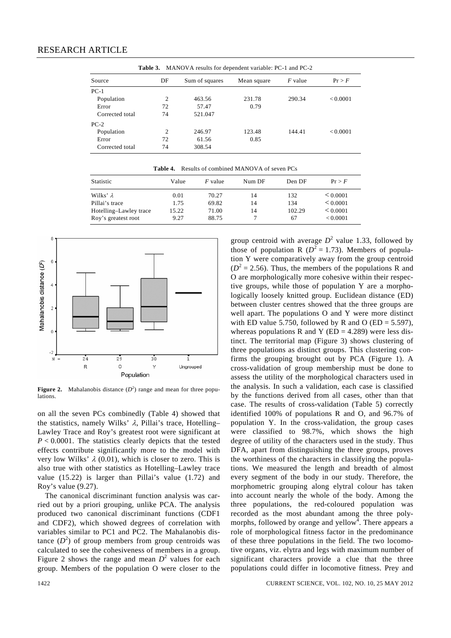**Table 3.** MANOVA results for dependent variable: PC-1 and PC-2

| Source          | DF | Sum of squares | Mean square | <i>F</i> value | Pr > F   |
|-----------------|----|----------------|-------------|----------------|----------|
| $PC-1$          |    |                |             |                |          |
| Population      | 2  | 463.56         | 231.78      | 290.34         | < 0.0001 |
| Error           | 72 | 57.47          | 0.79        |                |          |
| Corrected total | 74 | 521.047        |             |                |          |
| $PC-2$          |    |                |             |                |          |
| Population      | 2  | 246.97         | 123.48      | 144.41         | < 0.0001 |
| Error           | 72 | 61.56          | 0.85        |                |          |
| Corrected total | 74 | 308.54         |             |                |          |

**Table 4.** Results of combined MANOVA of seven PCs

| Statistic              | Value | $F$ value | Num DF | Den DF | Pr > F   |
|------------------------|-------|-----------|--------|--------|----------|
| Wilks' $\lambda$       | 0.01  | 70.27     | 14     | 132    | < 0.0001 |
| Pillai's trace         | 1.75  | 69.82     | 14     | 134    | < 0.0001 |
| Hotelling-Lawley trace | 15.22 | 71.00     | 14     | 102.29 | < 0.0001 |
| Roy's greatest root    | 9.27  | 88.75     |        | 67     | < 0.0001 |



**Figure 2.** Mahalanobis distance  $(D^2)$  range and mean for three populations.

on all the seven PCs combinedly (Table 4) showed that the statistics, namely Wilks'  $\lambda$ , Pillai's trace, Hotelling– Lawley Trace and Roy's greatest root were significant at *P* < 0.0001. The statistics clearly depicts that the tested effects contribute significantly more to the model with very low Wilks'  $\lambda$  (0.01), which is closer to zero. This is also true with other statistics as Hotelling–Lawley trace value (15.22) is larger than Pillai's value (1.72) and Roy's value (9.27).

 The canonical discriminant function analysis was carried out by a priori grouping, unlike PCA. The analysis produced two canonical discriminant functions (CDF1 and CDF2), which showed degrees of correlation with variables similar to PC1 and PC2. The Mahalanobis distance  $(D^2)$  of group members from group centroids was calculated to see the cohesiveness of members in a group. Figure 2 shows the range and mean  $D^2$  values for each group. Members of the population O were closer to the

group centroid with average  $D^2$  value 1.33, followed by those of population R ( $D^2 = 1.73$ ). Members of population Y were comparatively away from the group centroid  $(D<sup>2</sup> = 2.56)$ . Thus, the members of the populations R and O are morphologically more cohesive within their respective groups, while those of population Y are a morphologically loosely knitted group. Euclidean distance (ED) between cluster centres showed that the three groups are well apart. The populations O and Y were more distinct with ED value 5.750, followed by R and O (ED =  $5.597$ ), whereas populations R and Y ( $ED = 4.289$ ) were less distinct. The territorial map (Figure 3) shows clustering of three populations as distinct groups. This clustering confirms the grouping brought out by PCA (Figure 1). A cross-validation of group membership must be done to assess the utility of the morphological characters used in the analysis. In such a validation, each case is classified by the functions derived from all cases, other than that case. The results of cross-validation (Table 5) correctly identified 100% of populations R and O, and 96.7% of population Y. In the cross-validation, the group cases were classified to 98.7%, which shows the high degree of utility of the characters used in the study. Thus DFA, apart from distinguishing the three groups, proves the worthiness of the characters in classifying the populations. We measured the length and breadth of almost every segment of the body in our study. Therefore, the morphometric grouping along elytral colour has taken into account nearly the whole of the body. Among the three populations, the red-coloured population was recorded as the most abundant among the three polymorphs, followed by orange and yellow<sup>4</sup>. There appears a role of morphological fitness factor in the predominance of these three populations in the field. The two locomotive organs, viz. elytra and legs with maximum number of significant characters provide a clue that the three populations could differ in locomotive fitness. Prey and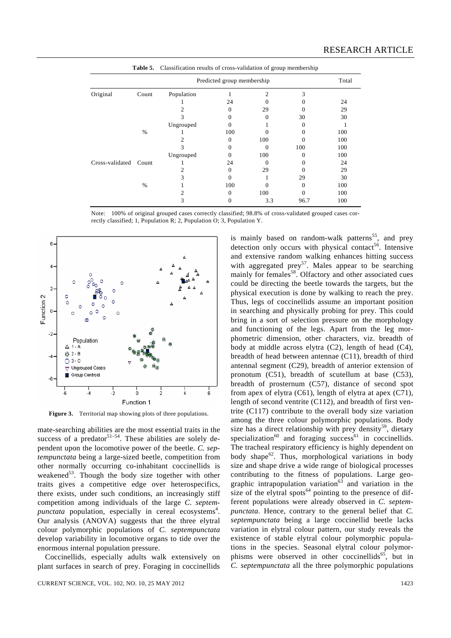|                 |               | <b>Table 5.</b> Classification results of cross-validation of group membership |                            |              |      |       |
|-----------------|---------------|--------------------------------------------------------------------------------|----------------------------|--------------|------|-------|
|                 |               |                                                                                | Predicted group membership |              |      | Total |
| Original        | Count         | Population                                                                     |                            | 2            | 3    |       |
|                 |               |                                                                                | 24                         |              |      | 24    |
|                 |               |                                                                                | 0                          | 29           |      | 29    |
|                 |               | 3                                                                              | 0                          | 0            | 30   | 30    |
|                 |               | Ungrouped                                                                      | $\theta$                   |              |      |       |
|                 | $\frac{0}{0}$ |                                                                                | 100                        |              |      | 100   |
|                 |               |                                                                                | 0                          | 100          |      | 100   |
|                 |               | 3                                                                              |                            | 0            | 100  | 100   |
|                 |               | Ungrouped                                                                      |                            | 100          |      | 100   |
| Cross-validated | Count         |                                                                                | 24                         | $\mathbf{0}$ |      | 24    |
|                 |               |                                                                                | 0                          | 29           |      | 29    |
|                 |               |                                                                                |                            |              | 29   | 30    |
|                 | %             |                                                                                | 100                        |              |      | 100   |
|                 |               |                                                                                | 0                          | 100          |      | 100   |
|                 |               | 3                                                                              | O                          | 3.3          | 96.7 | 100   |

Note: 100% of original grouped cases correctly classified; 98.8% of cross-validated grouped cases correctly classified; 1, Population R; 2, Population O; 3, Population Y.



**Figure 3.** Territorial map showing plots of three populations.

mate-searching abilities are the most essential traits in the success of a predator  $51-54$ . These abilities are solely dependent upon the locomotive power of the beetle. *C. septempunctata* being a large-sized beetle, competition from other normally occurring co-inhabitant coccinellids is weakened<sup>53</sup>. Though the body size together with other traits gives a competitive edge over heterospecifics, there exists, under such conditions, an increasingly stiff competition among individuals of the large *C. septempunctata* population, especially in cereal ecosystems<sup>4</sup>. Our analysis (ANOVA) suggests that the three elytral colour polymorphic populations of *C. septempunctata* develop variability in locomotive organs to tide over the enormous internal population pressure.

 Coccinellids, especially adults walk extensively on plant surfaces in search of prey. Foraging in coccinellids is mainly based on random-walk patterns<sup>55</sup>, and prey detection only occurs with physical contact<sup>56</sup>. Intensive and extensive random walking enhances hitting success with aggregated prey<sup>57</sup>. Males appear to be searching mainly for females<sup>58</sup>. Olfactory and other associated cues could be directing the beetle towards the targets, but the physical execution is done by walking to reach the prey. Thus, legs of coccinellids assume an important position in searching and physically probing for prey. This could bring in a sort of selection pressure on the morphology and functioning of the legs. Apart from the leg morphometric dimension, other characters, viz. breadth of body at middle across elytra (C2), length of head (C4), breadth of head between antennae (C11), breadth of third antennal segment (C29), breadth of anterior extension of pronotum (C51), breadth of scutellum at base (C53), breadth of prosternum (C57), distance of second spot from apex of elytra (C61), length of elytra at apex (C71), length of second ventrite (C112), and breadth of first ventrite (C117) contribute to the overall body size variation among the three colour polymorphic populations. Body size has a direct relationship with prey density<sup>59</sup>, dietary specialization<sup>60</sup> and foraging success<sup>61</sup> in coccinellids. The tracheal respiratory efficiency is highly dependent on body shape $62$ . Thus, morphological variations in body size and shape drive a wide range of biological processes contributing to the fitness of populations. Large geographic intrapopulation variation<sup>63</sup> and variation in the size of the elytral spots<sup>64</sup> pointing to the presence of different populations were already observed in *C. septempunctata*. Hence, contrary to the general belief that *C. septempunctata* being a large coccinellid beetle lacks variation in elytral colour pattern, our study reveals the existence of stable elytral colour polymorphic populations in the species. Seasonal elytral colour polymorphisms were observed in other coccinellids<sup>65</sup>, but in *C. septempunctata* all the three polymorphic populations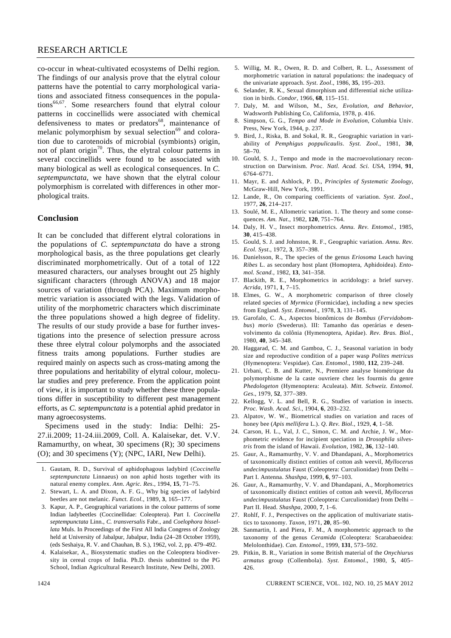## RESEARCH ARTICLE

co-occur in wheat-cultivated ecosystems of Delhi region. The findings of our analysis prove that the elytral colour patterns have the potential to carry morphological variations and associated fitness consequences in the populations<sup>66,67</sup>. Some researchers found that elytral colour patterns in coccinellids were associated with chemical defensiveness to mates or predators $68$ , maintenance of melanic polymorphism by sexual selection $69$  and coloration due to carotenoids of microbial (symbionts) origin, not of plant origin<sup>70</sup>. Thus, the elytral colour patterns in several coccinellids were found to be associated with many biological as well as ecological consequences. In *C. septempunctata*, we have shown that the elytral colour polymorphism is correlated with differences in other morphological traits.

#### **Conclusion**

It can be concluded that different elytral colorations in the populations of *C. septempunctata* do have a strong morphological basis, as the three populations get clearly discriminated morphometrically. Out of a total of 122 measured characters, our analyses brought out 25 highly significant characters (through ANOVA) and 18 major sources of variation (through PCA). Maximum morphometric variation is associated with the legs. Validation of utility of the morphometric characters which discriminate the three populations showed a high degree of fidelity. The results of our study provide a base for further investigations into the presence of selection pressure across these three elytral colour polymorphs and the associated fitness traits among populations. Further studies are required mainly on aspects such as cross-mating among the three populations and heritability of elytral colour, molecular studies and prey preference. From the application point of view, it is important to study whether these three populations differ in susceptibility to different pest management efforts, as *C. septempunctata* is a potential aphid predator in many agroecosystems.

 Specimens used in the study: India: Delhi: 25- 27.ii.2009; 11-24.iii.2009, Coll. A. Kalaisekar, det. V.V. Ramamurthy, on wheat, 30 specimens (R); 30 specimens (O); and 30 specimens (Y); (NPC, IARI, New Delhi).

- 1. Gautam, R. D., Survival of aphidophagous ladybird (*Coccinella septempunctata* Linnaeus) on non aphid hosts together with its natural enemy complex. *Ann. Agric. Res*., 1994, **15**, 71–75.
- 2. Stewart, L. A. and Dixon, A. F. G., Why big species of ladybird beetles are not melanic. *Funct. Ecol*., 1989, **3**, 165–177.
- 3. Kapur, A. P., Geographical variations in the colour pattterns of some Indian ladybeetles (Coccinellidae: Coleoptera). Part I. *Coccinella septempunctata* Linn., *C. transversalis* Fabr., and *Coelophora bissellata* Muls. In Proceedings of the First All India Congress of Zoology held at University of Jabalpur, Jabalpur, India (24–28 October 1959), (eds Seshaiya, R. V. and Chauhan, B. S.), 1962, vol. 2, pp. 479–492.
- 4. Kalaisekar, A., Biosystematic studies on the Coleoptera biodiversity in cereal crops of India. Ph.D. thesis submitted to the PG School, Indian Agricultural Research Institute, New Delhi, 2003.
- 5. Willig, M. R., Owen, R. D. and Colbert, R. L., Assessment of morphometric variation in natural populations: the inadequacy of the univariate approach. *Syst. Zool*., 1986, **35**, 195–203.
- 6. Selander, R. K., Sexual dimorphism and differential niche utilization in birds. *Condor*, 1966, **68**, 115–151.
- 7. Daly, M. and Wilson, M., *Sex, Evolution, and Behavior*, Wadsworth Publishing Co, California, 1978, p. 416.
- 8. Simpson, G. G., *Tempo and Mode in Evolution*, Columbia Univ. Press, New York, 1944, p. 237.
- Bird, J., Riska, B. and Sokal, R. R., Geographic variation in variability of *Pemphigus poppulicaulis*. *Syst. Zool*., 1981, **30**, 58–70.
- 10. Gould, S. J., Tempo and mode in the macroevolutionary reconstruction on Darwinism. *Proc. Natl. Acad. Sci. USA*, 1994, **91**, 6764–6771.
- 11. Mayr, E. and Ashlock, P. D., *Principles of Systematic Zoology*, McGraw-Hill, New York, 1991.
- 12. Lande, R., On comparing coefficients of variation. *Syst. Zool*., 1977, **26**, 214–217.
- 13. Soulé, M. E., Allometric variation. 1. The theory and some consequences. *Am. Nat*., 1982, **120**, 751–764.
- 14. Daly, H. V., Insect morphometrics. *Annu. Rev. Entomol*., 1985, **30**, 415–438.
- 15. Gould, S. J. and Johnston, R. F., Geographic variation. *Annu. Rev. Ecol. Syst*., 1972, **3**, 357–398.
- 16. Danielsson, R., The species of the genus *Eriosoma* Leach having *Ribes* L. as secondary host plant (Homoptera, Aphidoidea). *Entomol. Scand.*, 1982, **13**, 341–358.
- 17. Blackith, R. E., Morphometrics in acridology: a brief survey. *Acrida*, 1971, **1**, 7–15.
- 18. Elmes, G. W., A morphometric comparison of three closely related species of *Myrmica* (Formicidae), including a new species from England. *Syst. Entomol*., 1978, **3**, 131–145.
- 19. Garofalo, C. A., Aspectos bionômicos de *Bombus* (*Fervidobombus*) *morio* (Swederus). III: Tamanho das operárias e desenvolvimento da colônia (Hymenoptera, Apidae). *Rev. Bras. Biol.*, 1980, **40**, 345–348.
- 20. Haggarad, C. M. and Gamboa, C. J., Seasonal variation in body size and reproductive condition of a paper wasp *Polites metricus* (Hymenoptera: Vespidae). *Can. Entomol*., 1980, **112**, 239–248.
- 21. Urbani, C. B. and Kutter, N., Premiere analyse biométrique du polymorphisme de la caste ouvriere chez les fourmis du genre *Phedologeton* (Hymenoptera: Aculeata). *Mitt. Schweiz. Entomol. Ges*., 1979, **52**, 377–389.
- 22. Kellogg, V. L. and Bell, R. G., Studies of variation in insects. *Proc. Wash. Acad. Sci*., 1904, **6**, 203–232.
- 23. Alpatov, W. W., Biometrical studies on variation and races of honey bee (*Apis mellifera* L.). *Q. Rev. Biol*., 1929, **4**, 1–58.
- 24. Carson, H. L., Val, J. C., Simon, C. M. and Archie, J. W., Morphometric evidence for incipient speciation in *Drosophila silvestris* from the island of Hawaii. *Evolution*, 1982, **36**, 132–140.
- 25. Gaur, A., Ramamurthy, V. V. and Dhandapani, A., Morphometrics of taxonomically distinct entities of cotton ash weevil, *Myllocerus undecimpustulatus* Faust (Coleoptera: Curculionidae) from Delhi – Part I. Antenna. *Shashpa*, 1999, **6**, 97–103.
- 26. Gaur, A., Ramamurthy, V. V. and Dhandapani, A., Morphometrics of taxonomically distinct entities of cotton ash weevil, *Myllocerus undecimpustulatus* Faust (Coleoptera: Curculionidae) from Delhi – Part II. Head. *Shashpa*, 2000, **7**, 1–6.
- 27. Rohlf, F. J., Perspectives on the application of multivariate statistics to taxonomy. *Taxon*, 1971, **20**, 85–90.
- 28. Sanmartin, I. and Piera, F. M., A morphometric approach to the taxonomy of the genus *Ceramida* (Coleoptera: Scarabaeoidea: Melolonthidae). *Can. Entomol*., 1999, **131**, 573–592.
- 29. Pitkin, B. R., Variation in some British material of the *Onychiurus armatus* group (Collembola). *Syst. Entomol*., 1980, **5**, 405– 426.